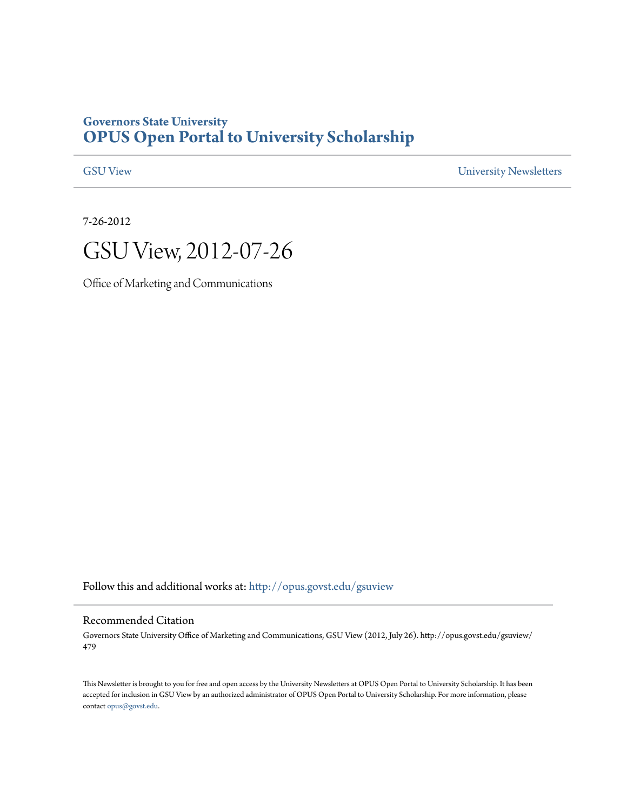## **Governors State University [OPUS Open Portal to University Scholarship](http://opus.govst.edu?utm_source=opus.govst.edu%2Fgsuview%2F479&utm_medium=PDF&utm_campaign=PDFCoverPages)**

[GSU View](http://opus.govst.edu/gsuview?utm_source=opus.govst.edu%2Fgsuview%2F479&utm_medium=PDF&utm_campaign=PDFCoverPages) [University Newsletters](http://opus.govst.edu/newsletters?utm_source=opus.govst.edu%2Fgsuview%2F479&utm_medium=PDF&utm_campaign=PDFCoverPages)

7-26-2012



Office of Marketing and Communications

Follow this and additional works at: [http://opus.govst.edu/gsuview](http://opus.govst.edu/gsuview?utm_source=opus.govst.edu%2Fgsuview%2F479&utm_medium=PDF&utm_campaign=PDFCoverPages)

#### Recommended Citation

Governors State University Office of Marketing and Communications, GSU View (2012, July 26). http://opus.govst.edu/gsuview/ 479

This Newsletter is brought to you for free and open access by the University Newsletters at OPUS Open Portal to University Scholarship. It has been accepted for inclusion in GSU View by an authorized administrator of OPUS Open Portal to University Scholarship. For more information, please contact [opus@govst.edu](mailto:opus@govst.edu).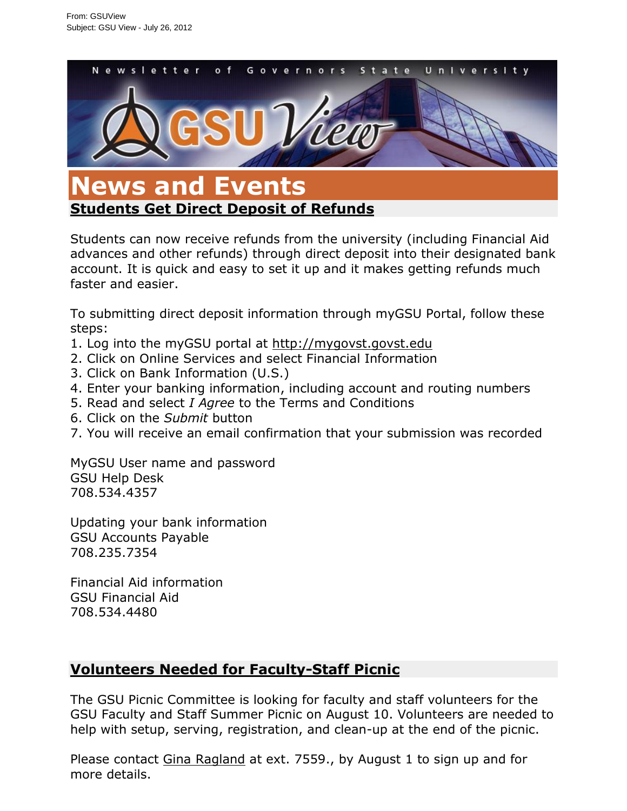

## **[Students Get Direct Deposit of Refunds](/gsuview/default.aspx?id=45189&blogid=734)**

Students can now receive refunds from the university (including Financial Aid advances and other refunds) through direct deposit into their designated bank account. It is quick and easy to set it up and it makes getting refunds much faster and easier.

To submitting direct deposit information through myGSU Portal, follow these steps:

- 1. Log into the myGSU portal at [http://mygovst.govst.edu](http://mygovst.govst.edu/)
- 2. Click on Online Services and select Financial Information
- 3. Click on Bank Information (U.S.)
- 4. Enter your banking information, including account and routing numbers
- 5. Read and select *I Agree* to the Terms and Conditions
- 6. Click on the *Submit* button
- 7. You will receive an email confirmation that your submission was recorded

MyGSU User name and password GSU Help Desk 708.534.4357

Updating your bank information GSU Accounts Payable 708.235.7354

Financial Aid information GSU Financial Aid 708.534.4480

# **[Volunteers Needed for Faculty-Staff Picnic](/gsuview/default.aspx?id=45188&blogid=734)**

The GSU Picnic Committee is looking for faculty and staff volunteers for the GSU Faculty and Staff Summer Picnic on August 10. Volunteers are needed to help with setup, serving, registration, and clean-up at the end of the picnic.

Please contact [Gina Ragland](mailto:gragland-owolabi@govst.edu) at ext. 7559., by August 1 to sign up and for more details.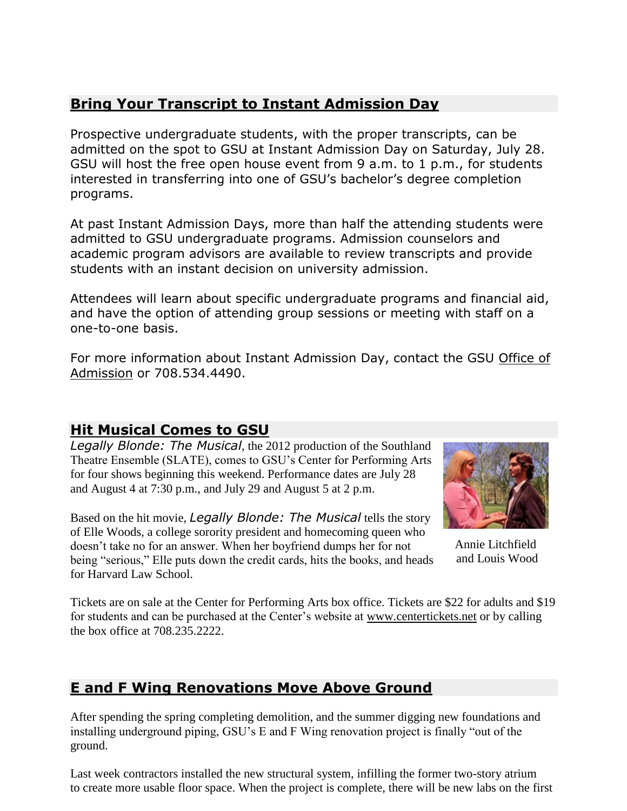# **Bring Your [Transcript to Instant Admission Day](/gsuview/default.aspx?id=45184&blogid=734)**

Prospective undergraduate students, with the proper transcripts, can be admitted on the spot to GSU at Instant Admission Day on Saturday, July 28. GSU will host the free open house event from 9 a.m. to 1 p.m., for students interested in transferring into one of GSU's bachelor's degree completion programs.

At past Instant Admission Days, more than half the attending students were admitted to GSU undergraduate programs. Admission counselors and academic program advisors are available to review transcripts and provide students with an instant decision on university admission.

Attendees will learn about specific undergraduate programs and financial aid, and have the option of attending group sessions or meeting with staff on a one-to-one basis.

For more information about Instant Admission Day, contact the GSU Office of [Admission](http://www.govst.edu/apply/) or 708.534.4490.

## **[Hit Musical Comes to GSU](/gsuview/default.aspx?id=45183&blogid=734)**

*Legally Blonde: The Musical*, the 2012 production of the Southland Theatre Ensemble (SLATE), comes to GSU's Center for Performing Arts for four shows beginning this weekend. Performance dates are July 28 and August 4 at 7:30 p.m., and July 29 and August 5 at 2 p.m.

Based on the hit movie, *Legally Blonde: The Musical* tells the story of Elle Woods, a college sorority president and homecoming queen who doesn't take no for an answer. When her boyfriend dumps her for not being "serious," Elle puts down the credit cards, hits the books, and heads for Harvard Law School.



Annie Litchfield and Louis Wood

Tickets are on sale at the Center for Performing Arts box office. Tickets are \$22 for adults and \$19 for students and can be purchased at the Center's website at [www.centertickets.net](http://www.centertickets.net/) or by calling the box office at 708.235.2222.

# **[E and F Wing Renovations Move Above Ground](/gsuview/default.aspx?id=45181&blogid=734)**

After spending the spring completing demolition, and the summer digging new foundations and installing underground piping, GSU's E and F Wing renovation project is finally "out of the ground.

Last week contractors installed the new structural system, infilling the former two-story atrium to create more usable floor space. When the project is complete, there will be new labs on the first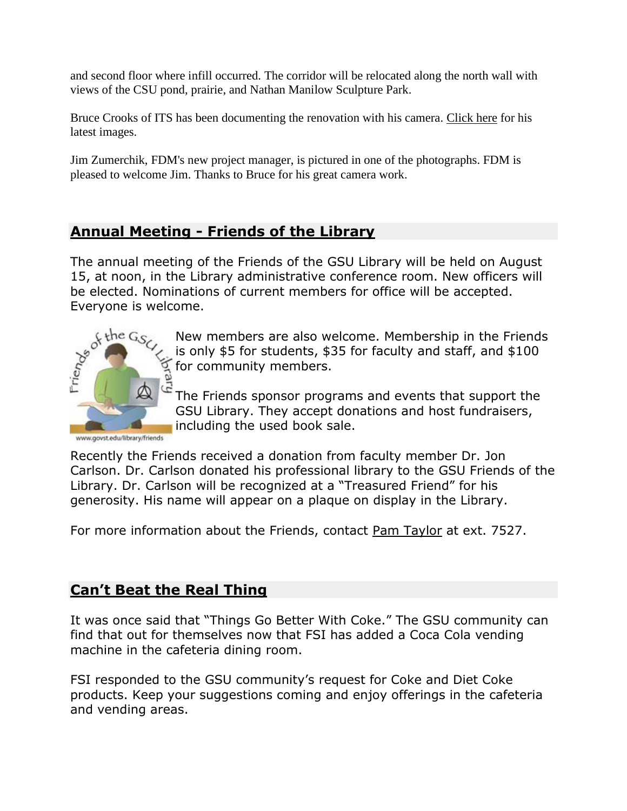and second floor where infill occurred. The corridor will be relocated along the north wall with views of the CSU pond, prairie, and Nathan Manilow Sculpture Park.

Bruce Crooks of ITS has been documenting the renovation with his camera. [Click here](http://www3.govst.edu/ef-renovation/7-24-2012/) for his latest images.

Jim Zumerchik, FDM's new project manager, is pictured in one of the photographs. FDM is pleased to welcome Jim. Thanks to Bruce for his great camera work.

# **Annual Meeting - [Friends of the Library](/gsuview/default.aspx?id=45180&blogid=734)**

The annual meeting of the Friends of the GSU Library will be held on August 15, at noon, in the Library administrative conference room. New officers will be elected. Nominations of current members for office will be accepted.



New members are also welcome. Membership in the Friends is only \$5 for students, \$35 for faculty and staff, and \$100 for community members.

The Friends sponsor programs and events that support the GSU Library. They accept donations and host fundraisers, including the used book sale.

www.govst.edu/library/friends

Recently the Friends received a donation from faculty member Dr. Jon Carlson. Dr. Carlson donated his professional library to the GSU Friends of the Library. Dr. Carlson will be recognized at a "Treasured Friend" for his generosity. His name will appear on a plaque on display in the Library.

For more information about the Friends, contact [Pam Taylor](mailto:ptaylor@govst.edu) at ext. 7527.

# **[Can't Beat the Real Thing](/gsuview/default.aspx?id=45179&blogid=734)**

It was once said that "Things Go Better With Coke." The GSU community can find that out for themselves now that FSI has added a Coca Cola vending machine in the cafeteria dining room.

FSI responded to the GSU community's request for Coke and Diet Coke products. Keep your suggestions coming and enjoy offerings in the cafeteria and vending areas.